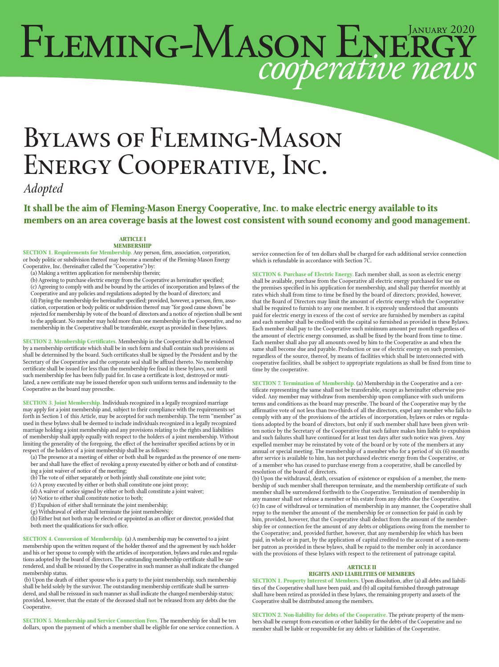# FLEMING-MASON ENERGY

# Bylaws of Fleming-Mason Energy Cooperative, Inc.

*Adopted*

**It shall be the aim of Fleming-Mason Energy Cooperative, Inc. to make electric energy available to its members on an area coverage basis at the lowest cost consistent with sound economy and good management.**

#### **ARTICLE I MEMBERSHIP**

**SECTION 1. Requirements for Membership.** Any person, firm, association, corporation, or body politic or subdivision thereof may become a member of the Fleming-Mason Energy Cooperative, Inc. (hereinafter called the ''Cooperative'') by:

(a) Making a written application for membership therein;

(b) Agreeing to purchase electric energy from the Cooperative as hereinafter specified; (c) Agreeing to comply with and be bound by the articles of incorporation and bylaws of the Cooperative and any policies and regulations adopted by the board of directors; and (d) Paying the membership fee hereinafter specified; provided, however, a person, firm, association, corporation or body politic or subdivision thereof may "for good cause shown" be rejected for membership by vote of the board of directors and a notice of rejection shall be sent to the applicant. No member may hold more than one membership in the Cooperative, and no membership in the Cooperative shall be transferable, except as provided in these bylaws.

**SECTION 2. Membership Certificates.** Membership in the Cooperative shall be evidenced by a membership certificate which shall be in such form and shall contain such provisions as shall be determined by the board. Such certificates shall be signed by the President and by the Secretary of the Cooperative and the corporate seal shall be affixed thereto. No membership certificate shall be issued for less than the membership fee fixed in these bylaws, nor until such membership fee has been fully paid for. In case a certificate is lost, destroyed or muti-lated, a new certificate may be issued therefor upon such uniform terms and indemnity to the Cooperative as the board may prescribe.

**SECTION 3. Joint Membership.** Individuals recognized in a legally recognized marriage may apply for a joint membership and, subject to their compliance with the requirements set forth in Section 1 of this Article, may be accepted for such membership. The term ''member'' as used in these bylaws shall be deemed to include individuals recognized in a legally recognized marriage holding a joint membership and any provisions relating to the rights and liabilities of membership shall apply equally with respect to the holders of a joint membership. Without limiting the generality of the foregoing, the effect of the hereinafter specified actions by or in respect of the holders of a joint membership shall be as follows:

- (a) The presence at a meeting of either or both shall be regarded as the presence of one member and shall have the effect of revoking a proxy executed by either or both and of constituting a joint waiver of notice of the meeting;
- (b) The vote of either separately or both jointly shall constitute one joint vote;
- (c) A proxy executed by either or both shall constitute one joint proxy;
- (d) A waiver of notice signed by either or both shall constitute a joint waiver;
- (e) Notice to either shall constitute notice to both;
- (f) Expulsion of either shall terminate the joint membership;
- (g) Withdrawal of either shall terminate the joint membership;

(h) Either but not both may be elected or appointed as an officer or director, provided that both meet the qualifications for such office.

**SECTION 4. Conversion of Membership.** (a) A membership may be converted to a joint membership upon the written request of the holder thereof and the agreement by such holder and his or her spouse to comply with the articles of incorporation, bylaws and rules and regulations adopted by the board of directors. The outstanding membership certificate shall be surrendered, and shall be reissued by the Cooperative in such manner as shall indicate the changed membership status.

 (b) Upon the death of either spouse who is a party to the joint membership, such membership shall be held solely by the survivor. The outstanding membership certificate shall be surrendered, and shall be reissued in such manner as shall indicate the changed membership status; provided, however, that the estate of the deceased shall not be released from any debts due the Cooperative.

**SECTION 5. Membership and Service Connection Fees.** The membership fee shall be ten dollars, upon the payment of which a member shall be eligible for one service connection. A service connection fee of ten dollars shall be charged for each additional service connection which is refundable in accordance with Section 7C.

**SECTION 6. Purchase of Electric Energy.** Each member shall, as soon as electric energy shall be available, purchase from the Cooperative all electric energy purchased for use on the premises specified in his application for membership, and shall pay therefor monthly at rates which shall from time to time be fixed by the board of directors; provided, however, that the Board of Directors may limit the amount of electric energy which the Cooperative shall be required to furnish to any one member. It is expressly understood that amounts paid for electric energy in excess of the cost of service are furnished by members as capital and each member shall be credited with the capital so furnished as provided in these Bylaws. Each member shall pay to the Cooperative such minimum amount per month regardless of the amount of electric energy consumed, as shall be fixed by the board from time to time. Each member shall also pay all amounts owed by him to the Cooperative as and when the same shall become due and payable. Production or use of electric energy on such premises, regardless of the source, thereof, by means of facilities which shall be interconnected with cooperative facilities, shall be subject to appropriate regulations as shall be fixed from time to time by the cooperative.

**SECTION 7. Termination of Membership.** (a) Membership in the Cooperative and a certificate representing the same shall not be transferable, except as hereinafter otherwise provided. Any member may withdraw from membership upon compliance with such uniform terms and conditions as the board may prescribe. The board of the Cooperative may by the affirmative vote of not less than two-thirds of all the directors, expel any member who fails to comply with any of the provisions of the articles of incorporation, bylaws or rules or regulations adopted by the board of directors, but only if such member shall have been given written notice by the Secretary of the Cooperative that such failure makes him liable to expulsion and such failures shall have continued for at least ten days after such notice was given. Any expelled member may be reinstated by vote of the board or by vote of the members at any annual or special meeting. The membership of a member who for a period of six (6) months after service is available to him, has not purchased electric energy from the Cooperative, or of a member who has ceased to purchase energy from a cooperative, shall be cancelled by resolution of the board of directors.

(b) Upon the withdrawal, death, cessation of existence or expulsion of a member, the membership of such member shall thereupon terminate, and the membership certificate of such member shall be surrendered forthwith to the Cooperative. Termination of membership in any manner shall not release a member or his estate from any debts due the Cooperative. (c) In case of withdrawal or termination of membership in any manner, the Cooperative shall repay to the member the amount of the membership fee or connection fee paid in cash by him, provided, however, that the Cooperative shall deduct from the amount of the membership fee or connection fee the amount of any debts or obligations owing from the member to the Cooperative; and, provided further, however, that any membership fee which has been paid, in whole or in part, by the application of capital credited to the account of a non-member patron as provided in these bylaws, shall be repaid to the member only in accordance with the provisions of these bylaws with respect to the retirement of patronage capital.

### **ARTICLE II**

# **RIGHTS AND LIABILITIES OF MEMBERS**

**SECTION 1. Property Interest of Members.** Upon dissolution, after (a) all debts and liabilities of the Cooperative shall have been paid, and (b) all capital furnished through patronage shall have been retired as provided in these bylaws, the remaining property and assets of the Cooperative shall be distributed among the members.

**SECTION 2. Non-liability for debts of the Cooperative.** The private property of the members shall be exempt from execution or other liability for the debts of the Cooperative and no member shall be liable or responsible for any debts or liabilities of the Cooperative.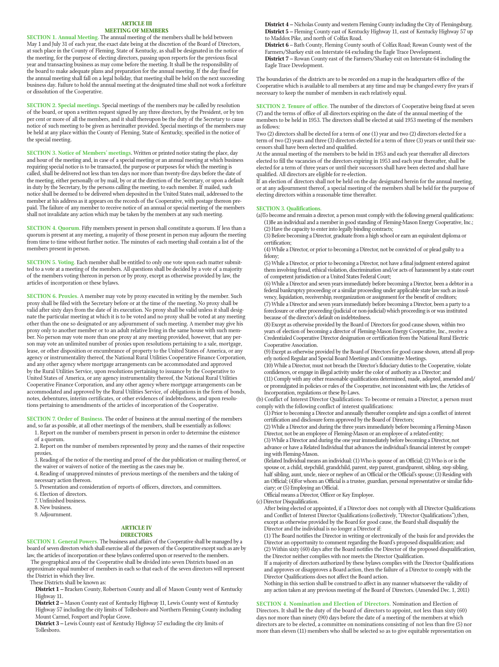#### **ARTICLE III MEETING OF MEMBERS**

**SECTION 1. Annual Meeting.** The annual meeting of the members shall be held between May 1 and July 31 of each year, the exact date being at the discretion of the Board of Directors, at such place in the County of Fleming, State of Kentucky, as shall be designated in the notice of the meeting, for the purpose of electing directors, passing upon reports for the previous fiscal year and transacting business as may come before the meeting. It shall be the responsibility of the board to make adequate plans and preparation for the annual meeting. If the day fixed for the annual meeting shall fall on a legal holiday, that meeting shall be held on the next succeeding business day. Failure to hold the annual meeting at the designated time shall not work a forfeiture or dissolution of the Cooperative.

**SECTION 2. Special meetings.** Special meetings of the members may be called by resolution of the board, or upon a written request signed by any three directors, by the President, or by ten per cent or more of all the members, and it shall thereupon be the duty of the Secretary to cause notice of such meeting to be given as hereinafter provided. Special meetings of the members may be held at any place within the County of Fleming, State of Kentucky, specified in the notice of the special meeting.

**SECTION 3. Notice of Members' meetings**. Written or printed notice stating the place, day and hour of the meeting and, in case of a special meeting or an annual meeting at which business requiring special notice is to be transacted, the purpose or purposes for which the meeting is called, shall be delivered not less than ten days nor more than twenty-five days before the date of the meeting, either personally or by mail, by or at the direction of the Secretary, or upon a default in duty by the Secretary, by the persons calling the meeting, to each member. If mailed, such notice shall be deemed to be delivered when deposited in the United States mail, addressed to the member at his address as it appears on the records of the Cooperative, with postage thereon pre-paid. The failure of any member to receive notice of an annual or special meeting of the members shall not invalidate any action which may be taken by the members at any such meeting.

**SECTION 4. Quorum.** Fifty members present in person shall constitute a quorum. If less than a quorum is present at any meeting, a majority of those present in person may adjourn the meeting from time to time without further notice. The minutes of each meeting shall contain a list of the members present in person.

**SECTION 5. Voting.** Each member shall be entitled to only one vote upon each matter submitted to a vote at a meeting of the members. All questions shall be decided by a vote of a majority of the members voting thereon in person or by proxy, except as otherwise provided by law, the articles of incorporation or these bylaws.

**SECTION 6. Proxies.** A member may vote by proxy executed in writing by the member. Such proxy shall be filed with the Secretary before or at the time of the meeting. No proxy shall be valid after sixty days from the date of its execution. No proxy shall be valid unless it shall designate the particular meeting at which it is to be voted and no proxy shall be voted at any meeting other than the one so designated or any adjournment of such meeting. A member may give his proxy only to another member or to an adult relative living in the same house with such member. No person may vote more than one proxy at any meeting provided, however, that any person may vote an unlimited number of proxies upon resolutions pertaining to a sale, mortgage, lease, or other disposition or encumbrance of property to the United States of America, or any agency or instrumentality thereof, the National Rural Utilities Cooperative Finance Corporation, and any other agency where mortgage arrangements can be accommodated and approved by the Rural Utilities Service, upon resolutions pertaining to issuance by the Cooperative to United States of America, or any agency instrumentality thereof, the National Rural Utilities Cooperative Finance Corporation, and any other agency where mortgage arrangements can be accommodated and approved by the Rural Utilities Service, of obligations in the form of bonds, notes, debentures, interim certificates, or other evidences of indebtedness, and upon resolutions pertaining to amendments of the articles of incorporation of the Cooperative.

**SECTION 7. Order of Business.** The order of business at the annual meeting of the members and, so far as possible, at all other meetings of the members, shall be essentially as follows:

1. Report on the number of members present in person in order to determine the existence of a quorum.

2. Report on the number of members represented by proxy and the names of their respective proxies.

3. Reading of the notice of the meeting and proof of the due publication or mailing thereof, or the waiver or waivers of notice of the meeting as the cases may be.

4. Reading of unapproved minutes of previous meetings of the members and the taking of necessary action thereon.

5. Presentation and consideration of reports of officers, directors, and committees.

6. Election of directors.

7. Unfinished business.

8. New business.

9. Adjournment.

#### **ARTICLE IV DIRECTORS**

**SECTION 1. General Powers.** The business and affairs of the Cooperative shall be managed by a board of seven directors which shall exercise all of the powers of the Cooperative except such as are by law, the articles of incorporation or these bylaws conferred upon or reserved to the members.

The geographical area of the Cooperative shall be divided into seven Districts based on an approximate equal number of members in each so that each of the seven directors will represent the District in which they live.

These Districts shall be known as:

**District 1 –** Bracken County, Robertson County and all of Mason County west of Kentucky Highway 11.

**District 2 –** Mason County east of Kentucky Highway 11, Lewis County west of Kentucky Highway 57 including the city limits of Tollesboro and Northern Fleming County including Mount Carmel, Foxport and Poplar Grove.

**District 3 –** Lewis County east of Kentucky Highway 57 excluding the city limits of Tollesboro.

**District 4 –** Nicholas County and western Fleming County including the City of Flemingsburg. **District 5 –** Fleming County east of Kentucky Highway 11, east of Kentucky Highway 57 up to Maddox Pike, and north of Colfax Road.

**District 6** – Bath County, Fleming County south of Colfax Road; Rowan County west of the Farmers/Sharkey exit on Interstate 64 excluding the Eagle Trace Development. **District 7 –** Rowan County east of the Farmers/Sharkey exit on Interstate 64 including the Eagle Trace Development.

The boundaries of the districts are to be recorded on a map in the headquarters office of the Cooperative which is available to all members at any time and may be changed every five years if necessary to keep the number of members in each relatively equal.

**SECTION 2. Tenure of office.** The number of the directors of Cooperative being fixed at seven (7) and the terms of office of all directors expiring on the date of the annual meeting of the members to be held in 1953. The directors shall be elected at said 1953 meeting of the members as follows:

Two (2) directors shall be elected for a term of one (1) year and two (2) directors elected for a term of two (2) years and three (3) directors elected for a term of three (3) years or until their successors shall have been elected and qualified.

At the annual meeting of the members to be held in 1953 and each year thereafter all directors elected to fill the vacancies of the directors expiring in 1953 and each year thereafter, shall be elected for a term of three years or until their successors shall have been elected and shall have qualified. All directors are eligible for re-election.

If an election of directors shall not be held on the day designated herein for the annual meeting, or at any adjournment thereof, a special meeting of the members shall be held for the purpose of electing directors within a reasonable time thereafter.

#### **SECTION 3. Qualifications.**

(a)To become and remain a director, a person must comply with the following general qualifications: (1)Be an individual and a member in good standing of Fleming-Mason Energy Cooperative, Inc.; (2) Have the capacity to enter into legally binding contracts;

(3) Before becoming a Director, graduate from a high school or earn an equivalent diploma or certification;

(4) While a Director, or prior to becoming a Director, not be convicted of or plead guilty to a felony;

(5) While a Director, or prior to becoming a Director, not have a final judgment entered against them involving fraud, ethical violation, discrimination and/or acts of harassment by a state court of competent jurisdiction or a United States Federal Court;

(6) While a Director and seven years immediately before becoming a Director, been a debtor in a federal bankruptcy proceeding or a similar proceeding under applicable state law such as insolvency, liquidation, receivership, reorganization or assignment for the benefit of creditors; (7) While a Director and seven years immediately before becoming a Director, been a party to a

foreclosure or other proceeding (judicial or non-judicial) which proceeding is or was instituted because of the director's default on indebtedness.

(8) Except as otherwise provided by the Board of Directors for good cause shown, within two years of election of becoming a director of Fleming-Mason Energy Cooperative, Inc., receive a Credentialed Cooperative Director designation or certification from the National Rural Electric Cooperative Association.

(9) Except as otherwise provided by the Board of Directors for good cause shown, attend all prop-erly noticed Regular and Special Board Meetings and Committee Meetings.

(10) While a Director, must not breach the Director's fiduciary duties to the Cooperative, violate confidences, or engage in illegal activity under the color of authority as a Director; and (11) Comply with any other reasonable qualifications determined, made, adopted, amended and/ or promulgated in policies or rules of the Cooperative, not inconsistent with law, the Articles of Incorporation, regulations or these By-Laws.

(b) Conflict of Interest Director Qualifications: To become or remain a Director, a person must comply with the following conflict of interest qualifications:

(1) Prior to becoming a Director and annually thereafter complete and sign a conflict of interest certification and disclosure form approved by the Board of Directors;

(2) While a Director and during the three years immediately before becoming a Fleming-Mason Director, not be an employee of Fleming-Mason or an employee of a related entity;

(3) While a Director and during the one year immediately before becoming a Director, not

advance or have a Related Individual that advances the individual's financial interest by competing with Fleming-Mason.

(Related Individual means an individual: (1) Who is spouse of an Official; (2) Who is or is the spouse or, a child, stepchild, grandchild, parent, step parent, grandparent, sibling, step sibling, half sibling, aunt, uncle, niece or nephew of an Official or the Official's spouse; (3) Residing with an Official; (4)For whom an Official is a trustee, guardian, personal representative or similar fiduciary; or (5) Employing an Official.

Official means a Director, Officer or Key Employee.

(c) Director Disqualification.

After being elected or appointed, if a Director does not comply with all Director Qualifications and Conflict of Interest Director Qualifications (collectively, "Director Qualifications"),then, except as otherwise provided by the Board for good cause, the Board shall disqualify the Director and the individual is no longer a Director if:

(1) The Board notifies the Director in writing or electronically of the basis for and provides the Director an opportunity to comment regarding the Board's proposed disqualification; and (2) Within sixty (60) days after the Board notifies the Director of the proposed disqualification, the Director neither complies with nor meets the Director Qualification.

If a majority of directors authorized by these bylaws complies with the Director Qualifications and approves or disapproves a Board action, then the failure of a Director to comply with the Director Qualifications does not affect the Board action.

Nothing in this section shall be construed to affect in any manner whatsoever the validity of any action taken at any previous meeting of the Board of Directors. (Amended Dec. 1, 2011)

**SECTION 4. Nomination and Election of Directors.** Nomination and Election of

Directors. It shall be the duty of the board of directors to appoint, not less than sixty (60) days nor more than ninety (90) days before the date of a meeting of the members at which directors are to be elected, a committee on nominations consisting of not less than five (5) nor more than eleven (11) members who shall be selected so as to give equitable representation on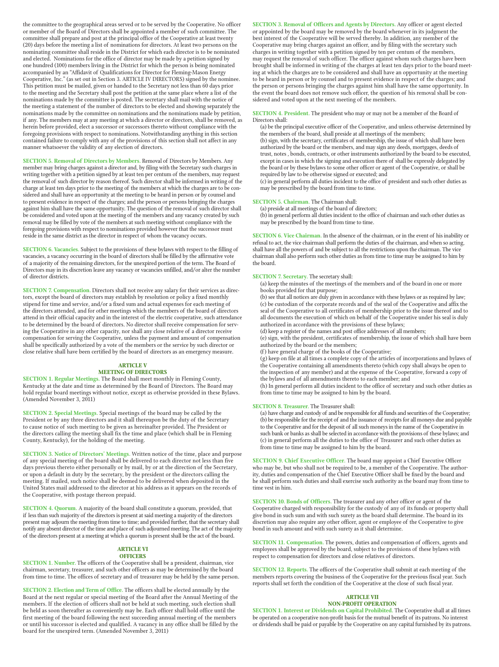the committee to the geographical areas served or to be served by the Cooperative. No officer or member of the Board of Directors shall be appointed a member of such committee. The committee shall prepare and post at the principal office of the Cooperative at least twenty (20) days before the meeting a list of nominations for directors. At least two persons on the nominating committee shall reside in the District for which each director is to be nominated and elected. Nominations for the office of director may be made by a petition signed by one hundred (100) members living in the District for which the person is being nominated accompanied by an "Affidavit of Qualifications for Director for Fleming-Mason Energy Cooperative, Inc." (as set out in Section 3. ARTICLE IV DIRECTORS) signed by the nominee. This petition must be mailed, given or handed to the Secretary not less than 60 days prior to the meeting and the Secretary shall post the petition at the same place where a list of the nominations made by the committee is posted. The secretary shall mail with the notice of the meeting a statement of the number of directors to be elected and showing separately the nominations made by the committee on nominations and the nominations made by petition, if any. The members may at any meeting at which a director or directors, shall be removed, as herein before provided, elect a successor or successors thereto without compliance with the foregoing provisions with respect to nominations. Notwithstanding anything in this section contained failure to comply with any of the provisions of this section shall not affect in any manner whatsoever the validity of any election of directors.

**SECTION 5. Removal of Directors by Members.** Removal of Directors by Members. Any member may bring charges against a director and, by filing with the Secretary such charges in writing together with a petition signed by at least ten per centum of the members, may request the removal of such director by reason thereof. Such director shall be informed in writing of the charge at least ten days prior to the meeting of the members at which the charges are to be considered and shall have an opportunity at the meeting to be heard in person or by counsel and to present evidence in respect of the charges; and the person or persons bringing the charges against him shall have the same opportunity. The question of the removal of such director shall be considered and voted upon at the meeting of the members and any vacancy created by such removal may be filled by vote of the members at such meeting without compliance with the foregoing provisions with respect to nominations provided however that the successor must reside in the same district as the director in respect of whom the vacancy occurs.

**SECTION 6. Vacancies.** Subject to the provisions of these bylaws with respect to the filling of vacancies, a vacancy occurring in the board of directors shall be filled by the affirmative vote of a majority of the remaining directors, for the unexpired portion of the term. The Board of Directors may in its discretion leave any vacancy or vacancies unfilled, and/or alter the number of director districts.

**SECTION 7. Compensation.** Directors shall not receive any salary for their services as directors, except the board of directors may establish by resolution or policy a fixed monthly stipend for time and service, and/or a fixed sum and actual expenses for each meeting of the directors attended, and for other meetings which the members of the board of directors attend in their official capacity and in the interest of the electric cooperative, such attendance to be determined by the board of directors. No director shall receive compensation for serv ing the Cooperative in any other capacity, nor shall any close relative of a director receive compensation for serving the Cooperative, unless the payment and amount of compensation shall be specifically authorized by a vote of the members or the service by such director or close relative shall have been certified by the board of directors as an emergency measure.

#### **ARTICLE V MEETING OF DIRECTORS**

**SECTION 1. Regular Meetings.** The Board shall meet monthly in Fleming County, Kentucky at the date and time as determined by the Board of Directors. The Board may hold regular board meetings without notice, except as otherwise provided in these Bylaws. (Amended November 3, 2011)

**SECTION 2. Special Meetings.** Special meetings of the board may be called by the President or by any three directors and it shall thereupon be the duty of the Secretary to cause notice of such meeting to be given as hereinafter provided. The President or the directors calling the meeting shall fix the time and place (which shall be in Fleming County, Kentucky), for the holding of the meeting.

**SECTION 3. Notice of Directors' Meetings.** Written notice of the time, place and purpose of any special meeting of the board shall be delivered to each director not less than five days previous thereto either personally or by mail, by or at the direction of the Secretary, or upon a default in duty by the secretary, by the president or the directors calling the meeting. If mailed, such notice shall be deemed to be delivered when deposited in the United States mail addressed to the director at his address as it appears on the records of the Cooperative, with postage thereon prepaid.

**SECTION 4. Quorum.** A majority of the board shall constitute a quorum, provided, that if less than such majority of the directors is present at said meeting a majority of the directors present may adjourn the meeting from time to time; and provided further, that the secretary shall notify any absent director of the time and place of such adjourned meeting. The act of the majority of the directors present at a meeting at which a quorum is present shall be the act of the board.

#### **ARTICLE VI**

#### **OFFICERS**

**SECTION 1. Number.** The officers of the Cooperative shall be a president, chairman, vice chairman, secretary, treasurer, and such other officers as may be determined by the board from time to time. The offices of secretary and of treasurer may be held by the same person.

**SECTION 2. Election and Term of Office.** The officers shall be elected annually by the Board at the next regular or special meeting of the Board after the Annual Meeting of the members. If the election of officers shall not be held at such meeting, such election shall be held as soon thereafter as conveniently may be. Each officer shall hold office until the first meeting of the board following the next succeeding annual meeting of the members or until his successor is elected and qualified. A vacancy in any office shall be filled by the board for the unexpired term. (Amended November 3, 2011)

**SECTION 3. Removal of Officers and Agents by Directors.** Any officer or agent elected or appointed by the board may be removed by the board whenever in its judgment the best interest of the Cooperative will be served thereby. In addition, any member of the Cooperative may bring charges against an officer, and by filing with the secretary such charges in writing together with a petition signed by ten per centum of the members, may request the removal of such officer. The officer against whom such charges have been brought shall be informed in writing of the charges at least ten days prior to the board meet-ing at which the charges are to be considered and shall have an opportunity at the meeting to be heard in person or by counsel and to present evidence in respect of the charges; and the person or persons bringing the charges against him shall have the same opportunity. In the event the board does not remove such officer, the question of his removal shall be considered and voted upon at the next meeting of the members.

**SECTION 4. President**. The president who may or may not be a member of the Board of Directors shall:

(a) be the principal executive officer of the Cooperative, and unless otherwise determined by the members of the board, shall preside at all meetings of the members; (b) sign, with the secretary, certificates of membership, the issue of which shall have been authorized by the board or the members, and may sign any deeds, mortgages, deeds of trust, notes , bonds, contracts, or other instruments authorized by the board to be executed, except in cases in which the signing and execution there of shall be expressly delegated by the board or by these bylaws to some other officer or agent of the Cooperative, or shall be required by law to be otherwise signed or executed; and

(c) in general perform all duties incident to the office of president and such other duties as may be prescribed by the board from time to time.

#### **SECTION 5. Chairman.** The Chairman shall:

(a) preside at all meetings of the board of directors; (b) in general perform all duties incident to the office of chairman and such other duties as may be prescribed by the board from time to time.

**SECTION 6. Vice Chairman.** In the absence of the chairman, or in the event of his inability or refusal to act, the vice chairman shall perform the duties of the chairman, and when so acting, shall have all the powers of and be subject to all the restrictions upon the chairman. The vice chairman shall also perform such other duties as from time to time may be assigned to him by the board.

#### **SECTION 7. Secretary.** The secretary shall:

(a) keep the minutes of the meetings of the members and of the board in one or more books provided for that purpose;

(b) see that all notices are duly given in accordance with these bylaws or as required by law; (c) be custodian of the corporate records and of the seal of the Cooperative and affix the seal of the Cooperative to all certificates of membership prior to the issue thereof and to all documents the execution of which on behalf of the Cooperative under his seal is duly authorized in accordance with the provisions of these bylaws;

(d) keep a register of the names and post office addresses of all members;

(e) sign, with the president, certificates of membership, the issue of which shall have been authorized by the board or the members;

(f ) have general charge of the books of the Cooperative;

(g) keep on file at all times a complete copy of the articles of incorporations and bylaws of the Cooperative containing all amendments thereto (which copy shall always be open to the inspection of any member) and at the expense of the Cooperative, forward a copy of the bylaws and of all amendments thereto to each member; and

(h) In general perform all duties incident to the office of secretary and such other duties as from time to time may be assigned to him by the board.

#### **SECTION 8. Treasurer.** The Treasurer shall:

(a) have charge and custody of and be responsible for all funds and securities of the Cooperative; (b) be responsible for the receipt of and the issuance of receipts for all moneys due and payable to the Cooperative and for the deposit of all such moneys in the name of the Cooperative in such bank or banks as shall be selected in accordance with the provisions of these bylaws; and (c) in general perform all the duties to the office of Treasurer and such other duties as from time to time may be assigned to him by the board.

**SECTION 9. Chief Executive Officer.** The board may appoint a Chief Executive Officer who may be, but who shall not be required to be, a member of the Cooperative. The authority, duties and compensation of the Chief Executive Officer shall be fixed by the board and he shall perform such duties and shall exercise such authority as the board may from time to time vest in him.

**SECTION 10. Bonds of Officers.** The treasurer and any other officer or agent of the Cooperative charged with responsibility for the custody of any of its funds or property shall give bond in such sum and with such surety as the board shall determine. The board in its discretion may also require any other officer, agent or employee of the Cooperative to give bond in such amount and with such surety as it shall determine.

**SECTION 11. Compensation.** The powers, duties and compensation of officers, agents and employees shall be approved by the board, subject to the provisions of these bylaws with respect to compensation for directors and close relatives of directors.

**SECTION 12. Reports.** The officers of the Cooperative shall submit at each meeting of the members reports covering the business of the Cooperative for the previous fiscal year. Such reports shall set forth the condition of the Cooperative at the close of such fiscal year.

#### **ARTICLE VII NON-PROFIT OPERATION**

**SECTION 1. Interest or Dividends on Capital Prohibited.** The Cooperative shall at all times be operated on a cooperative non-profit basis for the mutual benefit of its patrons. No interest or dividends shall be paid or payable by the Cooperative on any capital furnished by its patrons.